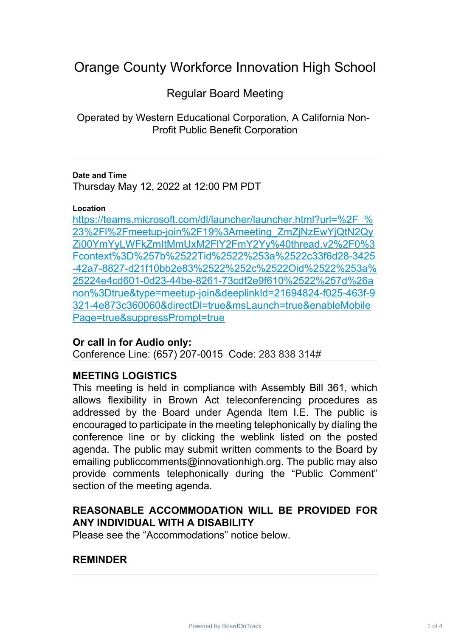# Orange County Workforce Innovation High School

# Regular Board Meeting

Operated by Western Educational Corporation, A California Non-Profit Public Benefit Corporation

### **Date and Time**

Thursday May 12, 2022 at 12:00 PM PDT

#### **Location**

https://teams.microsoft.com/dl/launcher/launcher.html?url=%2F % 23%2Fl%2Fmeetup-join%2F19%3Ameeting\_ZmZjNzEwYjQtN2Qy [Zi00YmYyLWFkZmItMmUxM2FlY2FmY2Yy%40thread.v2%2F0%3](https://teams.microsoft.com/dl/launcher/launcher.html?url=%2F_%23%2Fl%2Fmeetup-join%2F19%3Ameeting_ZmZjNzEwYjQtN2QyZi00YmYyLWFkZmItMmUxM2FlY2FmY2Yy%40thread.v2%2F0%3Fcontext%3D%257b%2522Tid%2522%253a%2522c33f6d28-3425-42a7-8827-d21f10bb2e83%2522%252c%2522Oid%2522%253a%25224e4cd601-0d23-44be-8261-73cdf2e9f610%2522%257d%26anon%3Dtrue&type=meetup-join&deeplinkId=21694824-f025-463f-9321-4e873c360060&directDl=true&msLaunch=true&enableMobilePage=true&suppressPrompt=true) Fcontext%3D%257b%2522Tid%2522%253a%2522c33f6d28-3425 [-42a7-8827-d21f10bb2e83%2522%252c%2522Oid%2522%253a%](https://teams.microsoft.com/dl/launcher/launcher.html?url=%2F_%23%2Fl%2Fmeetup-join%2F19%3Ameeting_ZmZjNzEwYjQtN2QyZi00YmYyLWFkZmItMmUxM2FlY2FmY2Yy%40thread.v2%2F0%3Fcontext%3D%257b%2522Tid%2522%253a%2522c33f6d28-3425-42a7-8827-d21f10bb2e83%2522%252c%2522Oid%2522%253a%25224e4cd601-0d23-44be-8261-73cdf2e9f610%2522%257d%26anon%3Dtrue&type=meetup-join&deeplinkId=21694824-f025-463f-9321-4e873c360060&directDl=true&msLaunch=true&enableMobilePage=true&suppressPrompt=true) 25224e4cd601-0d23-44be-8261-73cdf2e9f610%2522%257d%26a [non%3Dtrue&type=meetup-join&deeplinkId=21694824-f025-463f-9](https://teams.microsoft.com/dl/launcher/launcher.html?url=%2F_%23%2Fl%2Fmeetup-join%2F19%3Ameeting_ZmZjNzEwYjQtN2QyZi00YmYyLWFkZmItMmUxM2FlY2FmY2Yy%40thread.v2%2F0%3Fcontext%3D%257b%2522Tid%2522%253a%2522c33f6d28-3425-42a7-8827-d21f10bb2e83%2522%252c%2522Oid%2522%253a%25224e4cd601-0d23-44be-8261-73cdf2e9f610%2522%257d%26anon%3Dtrue&type=meetup-join&deeplinkId=21694824-f025-463f-9321-4e873c360060&directDl=true&msLaunch=true&enableMobilePage=true&suppressPrompt=true) 321-4e873c360060&directDl=true&msLaunch=true&enableMobile [Page=true&suppressPrompt=true](https://teams.microsoft.com/dl/launcher/launcher.html?url=%2F_%23%2Fl%2Fmeetup-join%2F19%3Ameeting_ZmZjNzEwYjQtN2QyZi00YmYyLWFkZmItMmUxM2FlY2FmY2Yy%40thread.v2%2F0%3Fcontext%3D%257b%2522Tid%2522%253a%2522c33f6d28-3425-42a7-8827-d21f10bb2e83%2522%252c%2522Oid%2522%253a%25224e4cd601-0d23-44be-8261-73cdf2e9f610%2522%257d%26anon%3Dtrue&type=meetup-join&deeplinkId=21694824-f025-463f-9321-4e873c360060&directDl=true&msLaunch=true&enableMobilePage=true&suppressPrompt=true)

### **Or call in for Audio only:**

Conference Line: (657) 207-0015 Code: 283 838 314#

## **MEETING LOGISTICS**

This meeting is held in compliance with Assembly Bill 361, which allows flexibility in Brown Act teleconferencing procedures as addressed by the Board under Agenda Item I.E. The public is encouraged to participate in the meeting telephonically by dialing the conference line or by clicking the weblink listed on the posted agenda. The public may submit written comments to the Board by emailing publiccomments@innovationhigh.org. The public may also provide comments telephonically during the "Public Comment" section of the meeting agenda.

# **REASONABLE ACCOMMODATION WILL BE PROVIDED FOR ANY INDIVIDUAL WITH A DISABILITY**

Please see the "Accommodations" notice below.

### **REMINDER**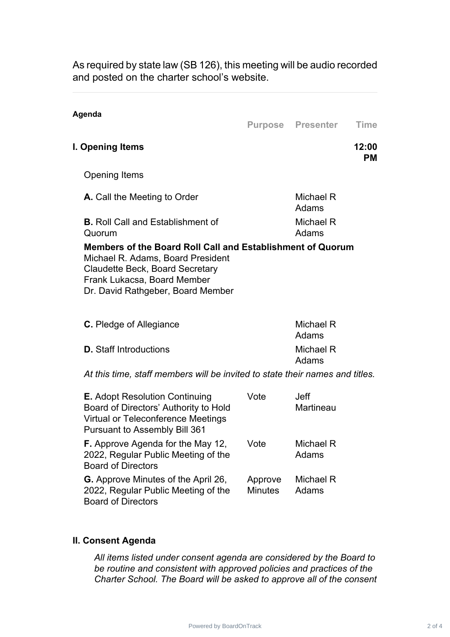As required by state law (SB 126), this meeting will be audio recorded and posted on the charter school's website.

| Agenda                                                                                                                                                                                                        |                    | <b>Purpose Presenter</b> | Time               |
|---------------------------------------------------------------------------------------------------------------------------------------------------------------------------------------------------------------|--------------------|--------------------------|--------------------|
| I. Opening Items                                                                                                                                                                                              |                    |                          | 12:00<br><b>PM</b> |
| Opening Items                                                                                                                                                                                                 |                    |                          |                    |
| <b>A.</b> Call the Meeting to Order                                                                                                                                                                           |                    | Michael R<br>Adams       |                    |
| <b>B.</b> Roll Call and Establishment of<br>Quorum                                                                                                                                                            |                    | Michael R<br>Adams       |                    |
| Members of the Board Roll Call and Establishment of Quorum<br>Michael R. Adams, Board President<br><b>Claudette Beck, Board Secretary</b><br>Frank Lukacsa, Board Member<br>Dr. David Rathgeber, Board Member |                    |                          |                    |
| <b>C.</b> Pledge of Allegiance                                                                                                                                                                                |                    | Michael R<br>Adams       |                    |
| <b>D.</b> Staff Introductions                                                                                                                                                                                 | Michael R<br>Adams |                          |                    |
| At this time, staff members will be invited to state their names and titles.                                                                                                                                  |                    |                          |                    |

| <b>E.</b> Adopt Resolution Continuing<br>Board of Directors' Authority to Hold<br><b>Virtual or Teleconference Meetings</b><br><b>Pursuant to Assembly Bill 361</b> | Vote                      | <b>Jeff</b><br><b>Martineau</b> |
|---------------------------------------------------------------------------------------------------------------------------------------------------------------------|---------------------------|---------------------------------|
| <b>F.</b> Approve Agenda for the May 12,<br>2022, Regular Public Meeting of the<br><b>Board of Directors</b>                                                        | Vote                      | Michael R<br>Adams              |
| <b>G.</b> Approve Minutes of the April 26,<br>2022, Regular Public Meeting of the<br><b>Board of Directors</b>                                                      | Approve<br><b>Minutes</b> | Michael R<br>Adams              |

### **II. Consent Agenda**

*All items listed under consent agenda are considered by the Board to be routine and consistent with approved policies and practices of the Charter School. The Board will be asked to approve all of the consent*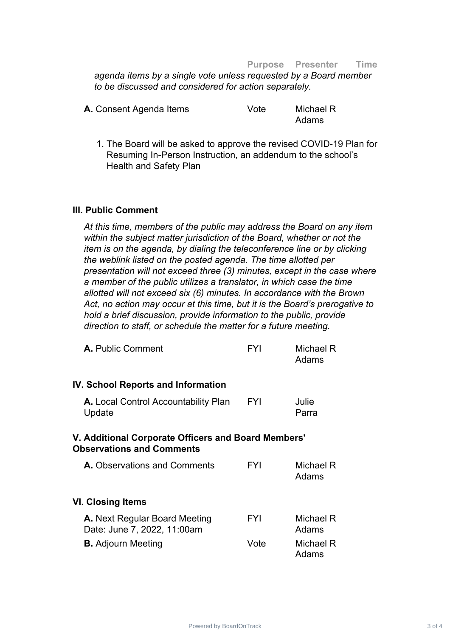#### **Purpose Presenter Time**

*agenda items by a single vote unless requested by a Board member to be discussed and considered for action separately.*

| A. Consent Agenda Items | Vote | Michael R |
|-------------------------|------|-----------|
|                         |      | Adams     |

1. The Board will be asked to approve the revised COVID-19 Plan for Resuming In-Person Instruction, an addendum to the school's Health and Safety Plan

#### **III. Public Comment**

*At this time, members of the public may address the Board on any item within the subject matter jurisdiction of the Board, whether or not the item is on the agenda, by dialing the teleconference line or by clicking the weblink listed on the posted agenda. The time allotted per presentation will not exceed three (3) minutes, except in the case where a member of the public utilizes a translator, in which case the time allotted will not exceed six (6) minutes. In accordance with the Brown Act, no action may occur at this time, but it is the Board's prerogative to hold a brief discussion, provide information to the public, provide direction to staff, or schedule the matter for a future meeting.*

| A. Public Comment                                                                       | <b>FYI</b> | Michael R<br>Adams |
|-----------------------------------------------------------------------------------------|------------|--------------------|
| <b>IV. School Reports and Information</b>                                               |            |                    |
| A. Local Control Accountability Plan<br>Update                                          | <b>FYI</b> | Julie<br>Parra     |
| V. Additional Corporate Officers and Board Members'<br><b>Observations and Comments</b> |            |                    |
| A. Observations and Comments                                                            | <b>FYI</b> | Michael R<br>Adams |
| <b>VI. Closing Items</b>                                                                |            |                    |
| <b>A.</b> Next Regular Board Meeting<br>Date: June 7, 2022, 11:00am                     | <b>FYI</b> | Michael R<br>Adams |
| <b>B.</b> Adjourn Meeting                                                               | Vote       | Michael R<br>Adams |